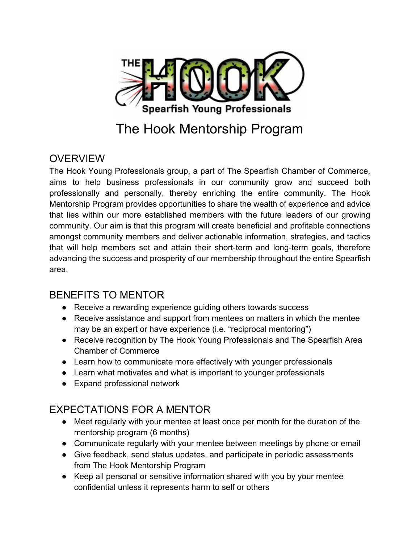

# The Hook Mentorship Program

#### **OVERVIEW**

The Hook Young Professionals group, a part of The Spearfish Chamber of Commerce, aims to help business professionals in our community grow and succeed both professionally and personally, thereby enriching the entire community. The Hook Mentorship Program provides opportunities to share the wealth of experience and advice that lies within our more established members with the future leaders of our growing community. Our aim is that this program will create beneficial and profitable connections amongst community members and deliver actionable information, strategies, and tactics that will help members set and attain their short-term and long-term goals, therefore advancing the success and prosperity of our membership throughout the entire Spearfish area.

## BENEFITS TO MENTOR

- Receive a rewarding experience guiding others towards success
- Receive assistance and support from mentees on matters in which the mentee may be an expert or have experience (i.e. "reciprocal mentoring")
- Receive recognition by The Hook Young Professionals and The Spearfish Area Chamber of Commerce
- Learn how to communicate more effectively with younger professionals
- Learn what motivates and what is important to younger professionals
- Expand professional network

#### EXPECTATIONS FOR A MENTOR

- Meet regularly with your mentee at least once per month for the duration of the mentorship program (6 months)
- Communicate regularly with your mentee between meetings by phone or email
- Give feedback, send status updates, and participate in periodic assessments from The Hook Mentorship Program
- Keep all personal or sensitive information shared with you by your mentee confidential unless it represents harm to self or others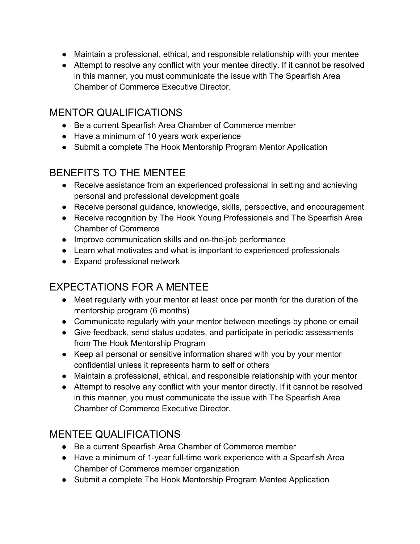- Maintain a professional, ethical, and responsible relationship with your mentee
- Attempt to resolve any conflict with your mentee directly. If it cannot be resolved in this manner, you must communicate the issue with The Spearfish Area Chamber of Commerce Executive Director.

## MENTOR QUALIFICATIONS

- Be a current Spearfish Area Chamber of Commerce member
- Have a minimum of 10 years work experience
- Submit a complete The Hook Mentorship Program Mentor Application

# BENEFITS TO THE MENTEE

- Receive assistance from an experienced professional in setting and achieving personal and professional development goals
- Receive personal guidance, knowledge, skills, perspective, and encouragement
- Receive recognition by The Hook Young Professionals and The Spearfish Area Chamber of Commerce
- Improve communication skills and on-the-job performance
- Learn what motivates and what is important to experienced professionals
- Expand professional network

# EXPECTATIONS FOR A MENTEE

- Meet regularly with your mentor at least once per month for the duration of the mentorship program (6 months)
- Communicate regularly with your mentor between meetings by phone or email
- Give feedback, send status updates, and participate in periodic assessments from The Hook Mentorship Program
- Keep all personal or sensitive information shared with you by your mentor confidential unless it represents harm to self or others
- Maintain a professional, ethical, and responsible relationship with your mentor
- Attempt to resolve any conflict with your mentor directly. If it cannot be resolved in this manner, you must communicate the issue with The Spearfish Area Chamber of Commerce Executive Director.

## MENTEE QUALIFICATIONS

- Be a current Spearfish Area Chamber of Commerce member
- Have a minimum of 1-year full-time work experience with a Spearfish Area Chamber of Commerce member organization
- Submit a complete The Hook Mentorship Program Mentee Application